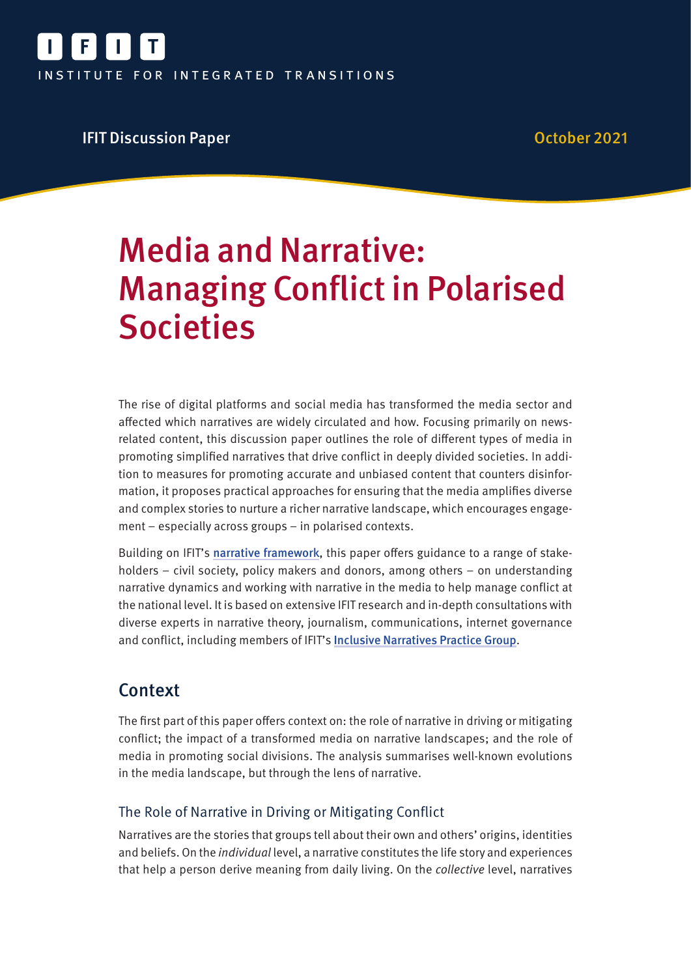

## **IFIT Discussion Paper Community Community Community Community Community Community Community Community Community**

# Media and Narrative: Managing Conflict in Polarised **Societies**

The rise of digital platforms and social media has transformed the media sector and affected which narratives are widely circulated and how. Focusing primarily on newsrelated content, this discussion paper outlines the role of different types of media in promoting simplified narratives that drive conflict in deeply divided societies. In addition to measures for promoting accurate and unbiased content that counters disinformation, it proposes practical approaches for ensuring that the media amplifies diverse and complex stories to nurture a richer narrative landscape, which encourages engagement – especially across groups – in polarised contexts.

Building on IFIT's narrative framework, this paper offers guidance to a range of stakeholders – civil society, policy makers and donors, among others – on understanding narrative dynamics and working with narrative in the media to help manage conflict at the national level. It is based on extensive IFIT research and in-depth consultations with diverse experts in narrative theory, journalism, communications, internet governance and conflict, including members of IFIT's Inclusive Narratives Practice Group.

# Context

The first part of this paper offers context on: the role of narrative in driving or mitigating conflict; the impact of a transformed media on narrative landscapes; and the role of media in promoting social divisions. The analysis summarises well-known evolutions in the media landscape, but through the lens of narrative.

## The Role of Narrative in Driving or Mitigating Conflict

Narratives are the stories that groups tell about their own and others' origins, identities and beliefs. On the individual level, a narrative constitutes the life story and experiences that help a person derive meaning from daily living. On the collective level, narratives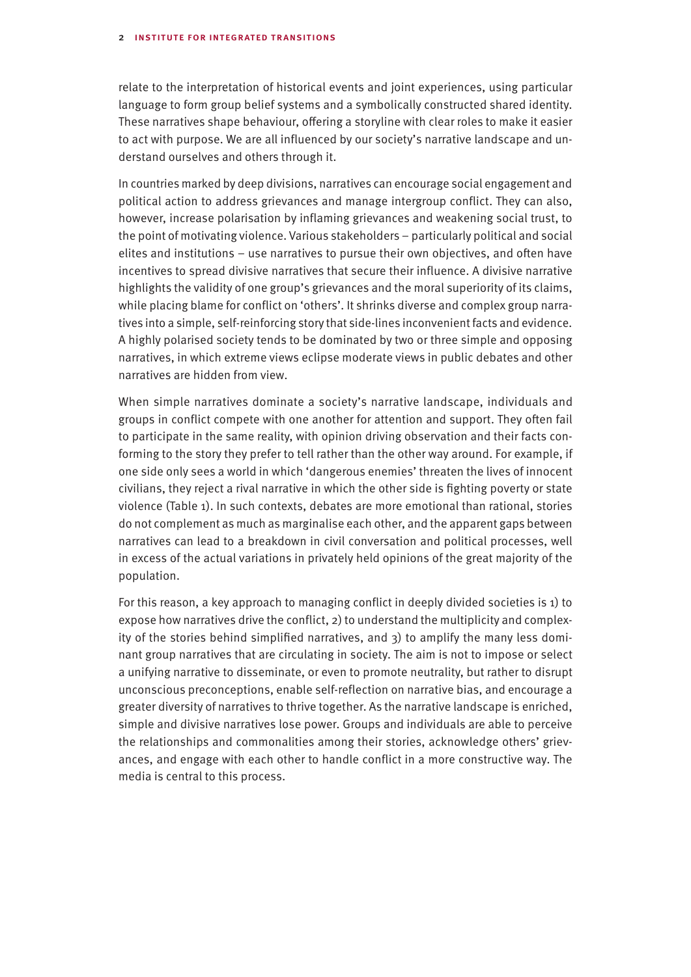relate to the interpretation of historical events and joint experiences, using particular language to form group belief systems and a symbolically constructed shared identity. These narratives shape behaviour, offering a storyline with clear roles to make it easier to act with purpose. We are all influenced by our society's narrative landscape and understand ourselves and others through it.

In countries marked by deep divisions, narratives can encourage social engagement and political action to address grievances and manage intergroup conflict. They can also, however, increase polarisation by inflaming grievances and weakening social trust, to the point of motivating violence. Various stakeholders – particularly political and social elites and institutions – use narratives to pursue their own objectives, and often have incentives to spread divisive narratives that secure their influence. A divisive narrative highlights the validity of one group's grievances and the moral superiority of its claims, while placing blame for conflict on 'others'. It shrinks diverse and complex group narratives into a simple, self-reinforcing story that side-lines inconvenient facts and evidence. A highly polarised society tends to be dominated by two or three simple and opposing narratives, in which extreme views eclipse moderate views in public debates and other narratives are hidden from view.

When simple narratives dominate a society's narrative landscape, individuals and groups in conflict compete with one another for attention and support. They often fail to participate in the same reality, with opinion driving observation and their facts conforming to the story they prefer to tell rather than the other way around. For example, if one side only sees a world in which 'dangerous enemies' threaten the lives of innocent civilians, they reject a rival narrative in which the other side is fighting poverty or state violence (Table 1). In such contexts, debates are more emotional than rational, stories do not complement as much as marginalise each other, and the apparent gaps between narratives can lead to a breakdown in civil conversation and political processes, well in excess of the actual variations in privately held opinions of the great majority of the population.

For this reason, a key approach to managing conflict in deeply divided societies is 1) to expose how narratives drive the conflict, 2) to understand the multiplicity and complexity of the stories behind simplified narratives, and  $3$ ) to amplify the many less dominant group narratives that are circulating in society. The aim is not to impose or select a unifying narrative to disseminate, or even to promote neutrality, but rather to disrupt unconscious preconceptions, enable self-reflection on narrative bias, and encourage a greater diversity of narratives to thrive together. As the narrative landscape is enriched, simple and divisive narratives lose power. Groups and individuals are able to perceive the relationships and commonalities among their stories, acknowledge others' grievances, and engage with each other to handle conflict in a more constructive way. The media is central to this process.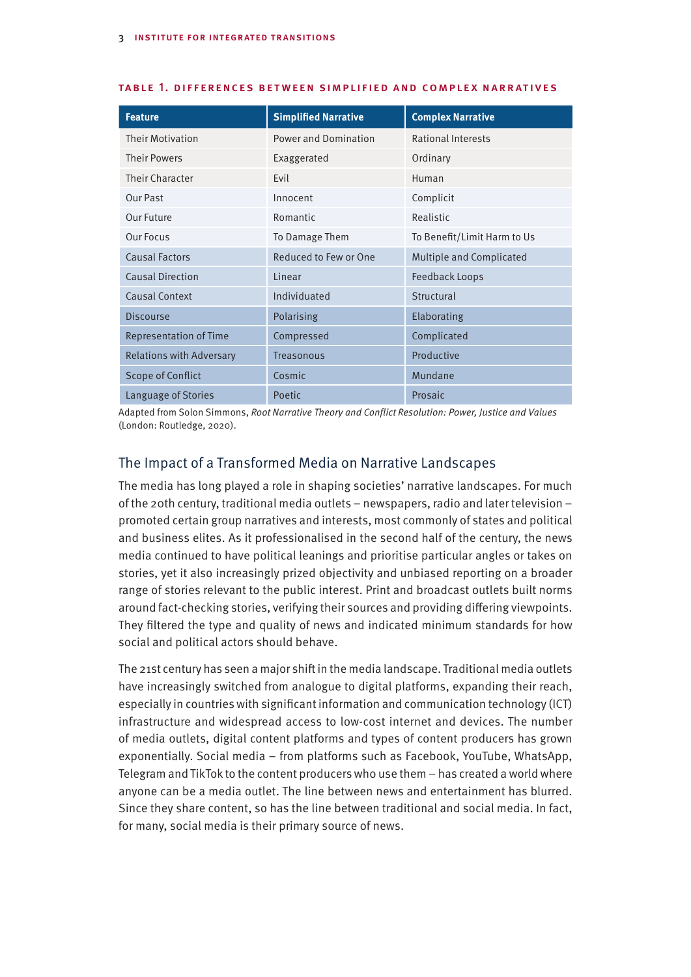| <b>Feature</b>                  | <b>Simplified Narrative</b> | <b>Complex Narrative</b>    |
|---------------------------------|-----------------------------|-----------------------------|
| <b>Their Motivation</b>         | <b>Power and Domination</b> | <b>Rational Interests</b>   |
| <b>Their Powers</b>             | Exaggerated                 | Ordinary                    |
| Their Character                 | Evil                        | Human                       |
| Our Past                        | Innocent                    | Complicit                   |
| Our Future                      | Romantic                    | Realistic                   |
| Our Focus                       | To Damage Them              | To Benefit/Limit Harm to Us |
| <b>Causal Factors</b>           | Reduced to Few or One       | Multiple and Complicated    |
| <b>Causal Direction</b>         | Linear                      | <b>Feedback Loops</b>       |
| <b>Causal Context</b>           | Individuated                | Structural                  |
| <b>Discourse</b>                | Polarising                  | Elaborating                 |
| <b>Representation of Time</b>   | Compressed                  | Complicated                 |
| <b>Relations with Adversary</b> | Treasonous                  | Productive                  |
| <b>Scope of Conflict</b>        | Cosmic                      | Mundane                     |
| Language of Stories             | Poetic                      | Prosaic                     |

#### table 1. differences between simplified and complex narratives

Adapted from Solon Simmons, Root Narrative Theory and Conflict Resolution: Power, Justice and Values (London: Routledge, 2020).

### The Impact of a Transformed Media on Narrative Landscapes

The media has long played a role in shaping societies' narrative landscapes. For much of the 20th century, traditional media outlets – newspapers, radio and later television – promoted certain group narratives and interests, most commonly of states and political and business elites. As it professionalised in the second half of the century, the news media continued to have political leanings and prioritise particular angles or takes on stories, yet it also increasingly prized objectivity and unbiased reporting on a broader range of stories relevant to the public interest. Print and broadcast outlets built norms around fact-checking stories, verifying their sources and providing differing viewpoints. They filtered the type and quality of news and indicated minimum standards for how social and political actors should behave.

The 21st century has seen a major shift in the media landscape. Traditional media outlets have increasingly switched from analogue to digital platforms, expanding their reach, especially in countries with significant information and communication technology (ICT) infrastructure and widespread access to low-cost internet and devices. The number of media outlets, digital content platforms and types of content producers has grown exponentially. Social media – from platforms such as Facebook, YouTube, WhatsApp, Telegram and TikTok to the content producers who use them – has created a world where anyone can be a media outlet. The line between news and entertainment has blurred. Since they share content, so has the line between traditional and social media. In fact, for many, social media is their primary source of news.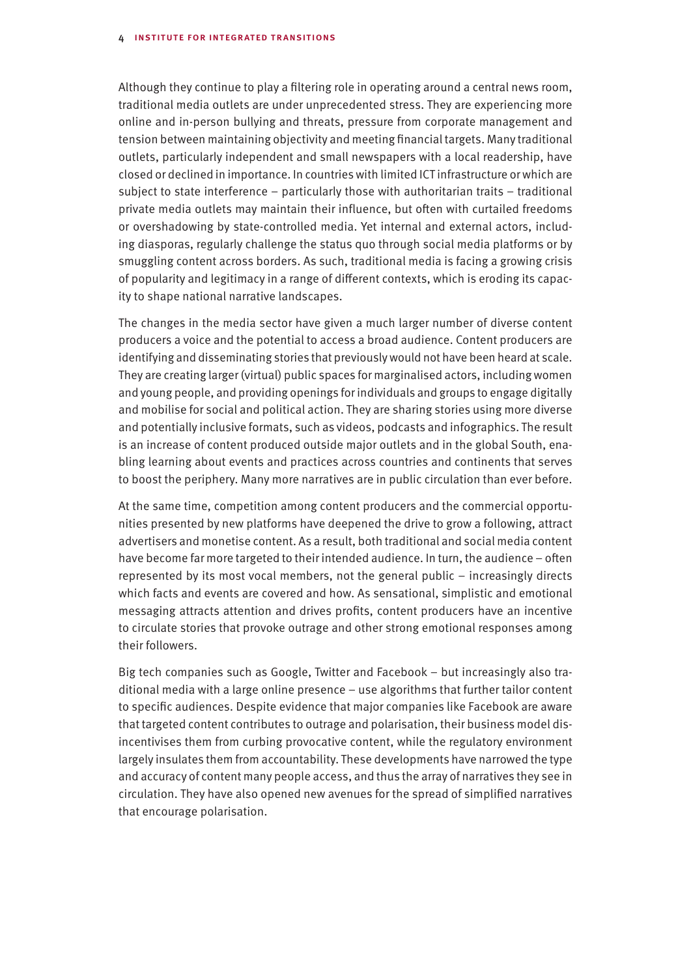Although they continue to play a filtering role in operating around a central news room, traditional media outlets are under unprecedented stress. They are experiencing more online and in-person bullying and threats, pressure from corporate management and tension between maintaining objectivity and meeting financial targets. Many traditional outlets, particularly independent and small newspapers with a local readership, have closed or declined in importance. In countries with limited ICT infrastructure or which are subject to state interference – particularly those with authoritarian traits – traditional private media outlets may maintain their influence, but often with curtailed freedoms or overshadowing by state-controlled media. Yet internal and external actors, including diasporas, regularly challenge the status quo through social media platforms or by smuggling content across borders. As such, traditional media is facing a growing crisis of popularity and legitimacy in a range of different contexts, which is eroding its capacity to shape national narrative landscapes.

The changes in the media sector have given a much larger number of diverse content producers a voice and the potential to access a broad audience. Content producers are identifying and disseminating stories that previously would not have been heard at scale. They are creating larger (virtual) public spaces for marginalised actors, including women and young people, and providing openings for individuals and groups to engage digitally and mobilise for social and political action. They are sharing stories using more diverse and potentially inclusive formats, such as videos, podcasts and infographics. The result is an increase of content produced outside major outlets and in the global South, enabling learning about events and practices across countries and continents that serves to boost the periphery. Many more narratives are in public circulation than ever before.

At the same time, competition among content producers and the commercial opportunities presented by new platforms have deepened the drive to grow a following, attract advertisers and monetise content. As a result, both traditional and social media content have become far more targeted to their intended audience. In turn, the audience – often represented by its most vocal members, not the general public – increasingly directs which facts and events are covered and how. As sensational, simplistic and emotional messaging attracts attention and drives profits, content producers have an incentive to circulate stories that provoke outrage and other strong emotional responses among their followers.

Big tech companies such as Google, Twitter and Facebook – but increasingly also traditional media with a large online presence – use algorithms that further tailor content to specific audiences. Despite evidence that major companies like Facebook are aware that targeted content contributes to outrage and polarisation, their business model disincentivises them from curbing provocative content, while the regulatory environment largely insulates them from accountability. These developments have narrowed the type and accuracy of content many people access, and thus the array of narratives they see in circulation. They have also opened new avenues for the spread of simplified narratives that encourage polarisation.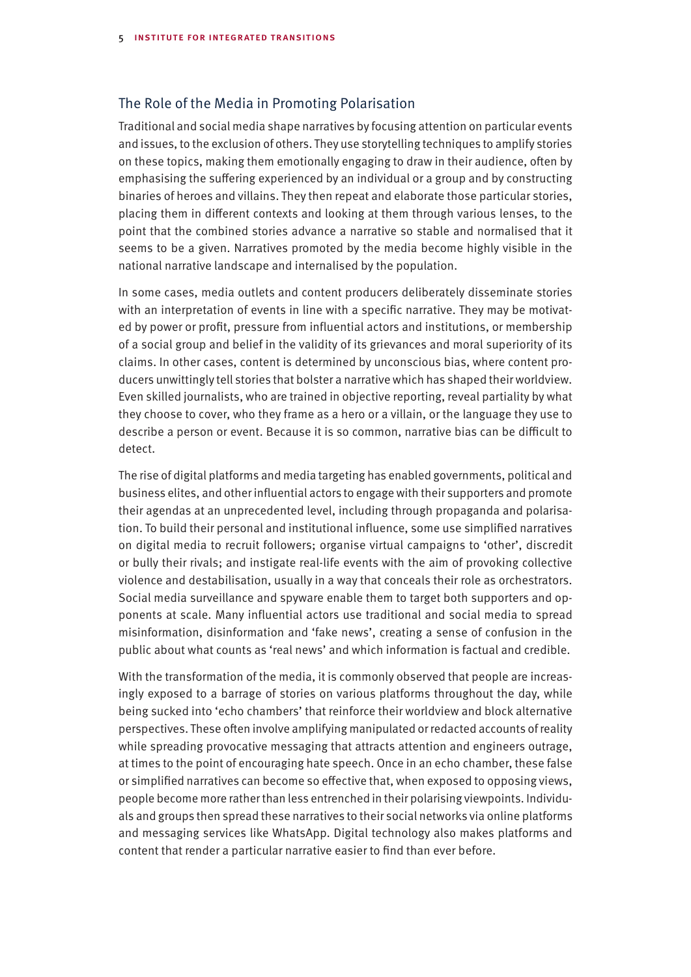#### The Role of the Media in Promoting Polarisation

Traditional and social media shape narratives by focusing attention on particular events and issues, to the exclusion of others. They use storytelling techniques to amplify stories on these topics, making them emotionally engaging to draw in their audience, often by emphasising the suffering experienced by an individual or a group and by constructing binaries of heroes and villains. They then repeat and elaborate those particular stories, placing them in different contexts and looking at them through various lenses, to the point that the combined stories advance a narrative so stable and normalised that it seems to be a given. Narratives promoted by the media become highly visible in the national narrative landscape and internalised by the population.

In some cases, media outlets and content producers deliberately disseminate stories with an interpretation of events in line with a specific narrative. They may be motivated by power or profit, pressure from influential actors and institutions, or membership of a social group and belief in the validity of its grievances and moral superiority of its claims. In other cases, content is determined by unconscious bias, where content producers unwittingly tell stories that bolster a narrative which has shaped their worldview. Even skilled journalists, who are trained in objective reporting, reveal partiality by what they choose to cover, who they frame as a hero or a villain, or the language they use to describe a person or event. Because it is so common, narrative bias can be difficult to detect.

The rise of digital platforms and media targeting has enabled governments, political and business elites, and other influential actors to engage with their supporters and promote their agendas at an unprecedented level, including through propaganda and polarisation. To build their personal and institutional influence, some use simplified narratives on digital media to recruit followers; organise virtual campaigns to 'other', discredit or bully their rivals; and instigate real-life events with the aim of provoking collective violence and destabilisation, usually in a way that conceals their role as orchestrators. Social media surveillance and spyware enable them to target both supporters and opponents at scale. Many influential actors use traditional and social media to spread misinformation, disinformation and 'fake news', creating a sense of confusion in the public about what counts as 'real news' and which information is factual and credible.

With the transformation of the media, it is commonly observed that people are increasingly exposed to a barrage of stories on various platforms throughout the day, while being sucked into 'echo chambers' that reinforce their worldview and block alternative perspectives. These often involve amplifying manipulated or redacted accounts of reality while spreading provocative messaging that attracts attention and engineers outrage, at times to the point of encouraging hate speech. Once in an echo chamber, these false or simplified narratives can become so effective that, when exposed to opposing views, people become more rather than less entrenched in their polarising viewpoints. Individuals and groups then spread these narratives to their social networks via online platforms and messaging services like WhatsApp. Digital technology also makes platforms and content that render a particular narrative easier to find than ever before.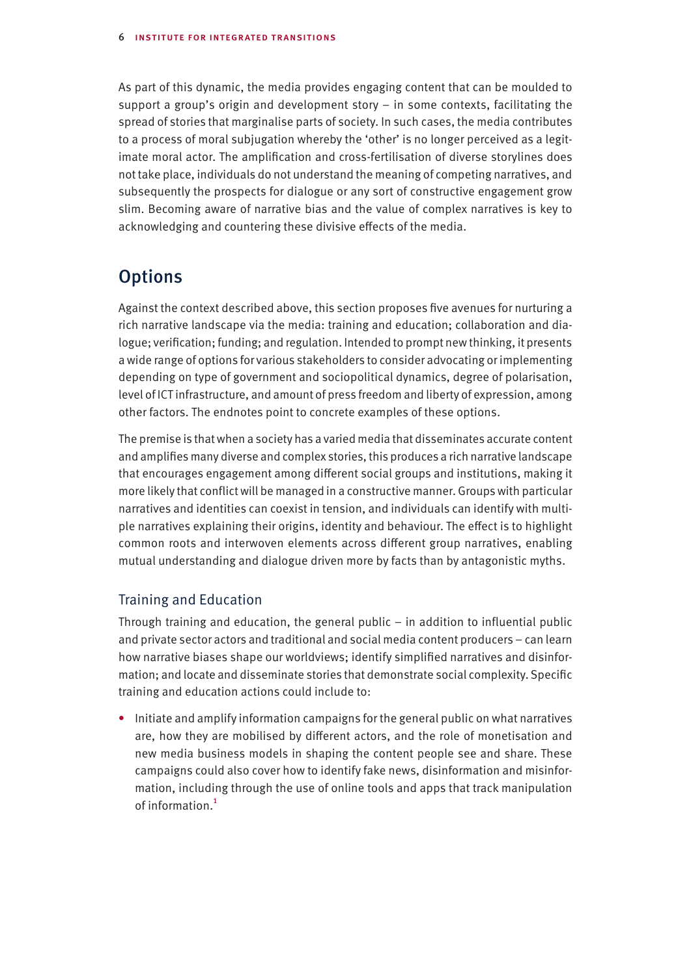As part of this dynamic, the media provides engaging content that can be moulded to support a group's origin and development story – in some contexts, facilitating the spread of stories that marginalise parts of society. In such cases, the media contributes to a process of moral subjugation whereby the 'other' is no longer perceived as a legitimate moral actor. The amplification and cross-fertilisation of diverse storylines does not take place, individuals do not understand the meaning of competing narratives, and subsequently the prospects for dialogue or any sort of constructive engagement grow slim. Becoming aware of narrative bias and the value of complex narratives is key to acknowledging and countering these divisive effects of the media.

# **Options**

Against the context described above, this section proposes five avenues for nurturing a rich narrative landscape via the media: training and education; collaboration and dialogue; verification; funding; and regulation. Intended to prompt new thinking, it presents a wide range of options for various stakeholders to consider advocating or implementing depending on type of government and sociopolitical dynamics, degree of polarisation, level of ICT infrastructure, and amount of press freedom and liberty of expression, among other factors. The endnotes point to concrete examples of these options.

The premise is that when a society has a varied media that disseminates accurate content and amplifies many diverse and complex stories, this produces a rich narrative landscape that encourages engagement among different social groups and institutions, making it more likely that conflict will be managed in a constructive manner. Groups with particular narratives and identities can coexist in tension, and individuals can identify with multiple narratives explaining their origins, identity and behaviour. The effect is to highlight common roots and interwoven elements across different group narratives, enabling mutual understanding and dialogue driven more by facts than by antagonistic myths.

## Training and Education

Through training and education, the general public – in addition to influential public and private sector actors and traditional and social media content producers – can learn how narrative biases shape our worldviews; identify simplified narratives and disinformation; and locate and disseminate stories that demonstrate social complexity. Specific training and education actions could include to:

• Initiate and amplify information campaigns for the general public on what narratives are, how they are mobilised by different actors, and the role of monetisation and new media business models in shaping the content people see and share. These campaigns could also cover how to identify fake news, disinformation and misinformation, including through the use of online tools and apps that track manipulation of information.<sup>1</sup>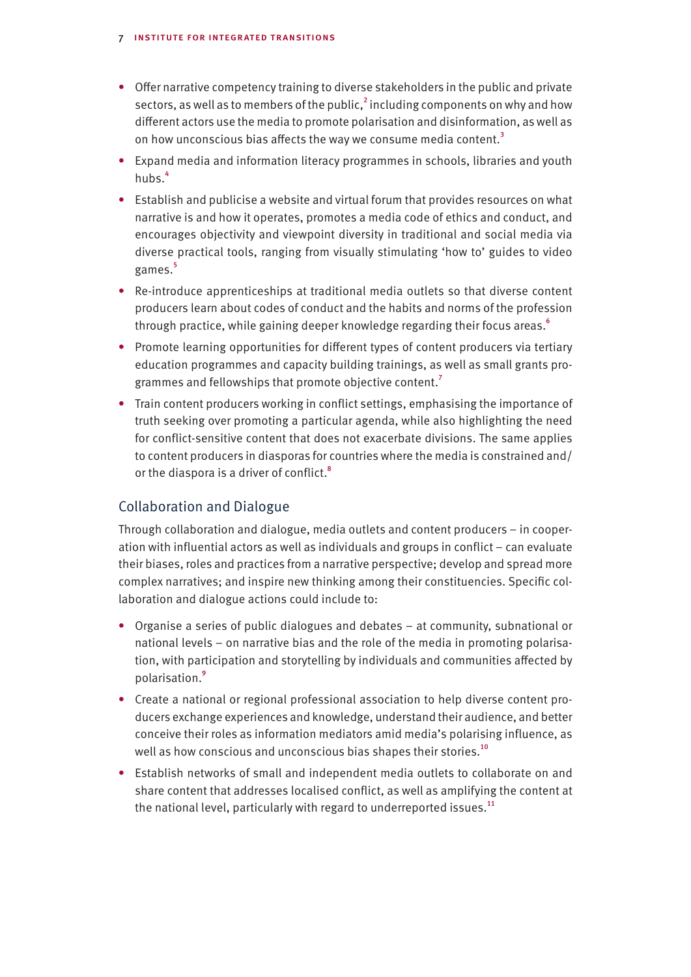- Offer narrative competency training to diverse stakeholders in the public and private sectors, as well as to members of the public, $^2$  including components on why and how different actors use the media to promote polarisation and disinformation, as well as on how unconscious bias affects the way we consume media content.<sup>3</sup>
- Expand media and information literacy programmes in schools, libraries and youth hubs.<sup>4</sup>
- Establish and publicise a website and virtual forum that provides resources on what narrative is and how it operates, promotes a media code of ethics and conduct, and encourages objectivity and viewpoint diversity in traditional and social media via diverse practical tools, ranging from visually stimulating 'how to' guides to video games.<sup>5</sup>
- Re-introduce apprenticeships at traditional media outlets so that diverse content producers learn about codes of conduct and the habits and norms of the profession through practice, while gaining deeper knowledge regarding their focus areas.<sup>6</sup>
- Promote learning opportunities for different types of content producers via tertiary education programmes and capacity building trainings, as well as small grants programmes and fellowships that promote objective content.<sup>7</sup>
- Train content producers working in conflict settings, emphasising the importance of truth seeking over promoting a particular agenda, while also highlighting the need for conflict-sensitive content that does not exacerbate divisions. The same applies to content producers in diasporas for countries where the media is constrained and/ or the diaspora is a driver of conflict.<sup>8</sup>

## Collaboration and Dialogue

Through collaboration and dialogue, media outlets and content producers – in cooperation with influential actors as well as individuals and groups in conflict – can evaluate their biases, roles and practices from a narrative perspective; develop and spread more complex narratives; and inspire new thinking among their constituencies. Specific collaboration and dialogue actions could include to:

- Organise a series of public dialogues and debates at community, subnational or national levels – on narrative bias and the role of the media in promoting polarisation, with participation and storytelling by individuals and communities affected by polarisation.<sup>9</sup>
- Create a national or regional professional association to help diverse content producers exchange experiences and knowledge, understand their audience, and better conceive their roles as information mediators amid media's polarising influence, as well as how conscious and unconscious bias shapes their stories.<sup>10</sup>
- Establish networks of small and independent media outlets to collaborate on and share content that addresses localised conflict, as well as amplifying the content at the national level, particularly with regard to underreported issues.<sup>11</sup>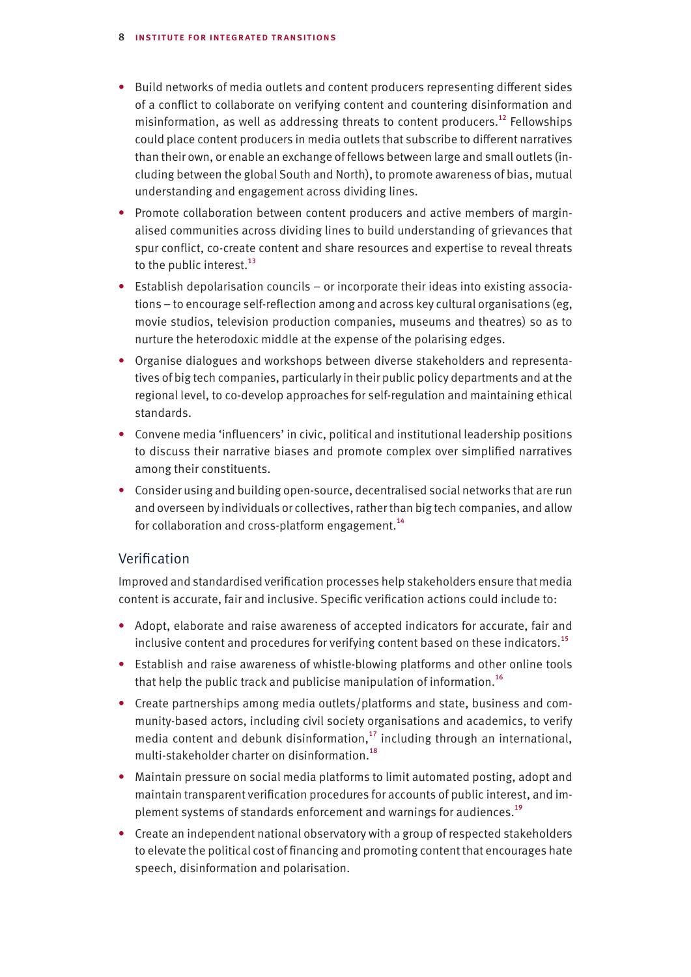- Build networks of media outlets and content producers representing different sides of a conflict to collaborate on verifying content and countering disinformation and misinformation, as well as addressing threats to content producers.<sup>12</sup> Fellowships could place content producers in media outlets that subscribe to different narratives than their own, or enable an exchange of fellows between large and small outlets (including between the global South and North), to promote awareness of bias, mutual understanding and engagement across dividing lines.
- Promote collaboration between content producers and active members of marginalised communities across dividing lines to build understanding of grievances that spur conflict, co-create content and share resources and expertise to reveal threats to the public interest. $^{13}$
- Establish depolarisation councils or incorporate their ideas into existing associations – to encourage self-reflection among and across key cultural organisations (eg, movie studios, television production companies, museums and theatres) so as to nurture the heterodoxic middle at the expense of the polarising edges.
- Organise dialogues and workshops between diverse stakeholders and representatives of big tech companies, particularly in their public policy departments and at the regional level, to co-develop approaches for self-regulation and maintaining ethical standards.
- Convene media 'influencers' in civic, political and institutional leadership positions to discuss their narrative biases and promote complex over simplified narratives among their constituents.
- Consider using and building open-source, decentralised social networks that are run and overseen by individuals or collectives, rather than big tech companies, and allow for collaboration and cross-platform engagement.<sup>14</sup>

## Verification

Improved and standardised verification processes help stakeholders ensure that media content is accurate, fair and inclusive. Specific verification actions could include to:

- Adopt, elaborate and raise awareness of accepted indicators for accurate, fair and inclusive content and procedures for verifying content based on these indicators.<sup>15</sup>
- Establish and raise awareness of whistle-blowing platforms and other online tools that help the public track and publicise manipulation of information.<sup>16</sup>
- Create partnerships among media outlets/platforms and state, business and community-based actors, including civil society organisations and academics, to verify media content and debunk disinformation, $^{17}$  including through an international, multi-stakeholder charter on disinformation.<sup>18</sup>
- Maintain pressure on social media platforms to limit automated posting, adopt and maintain transparent verification procedures for accounts of public interest, and implement systems of standards enforcement and warnings for audiences.<sup>19</sup>
- Create an independent national observatory with a group of respected stakeholders to elevate the political cost of financing and promoting content that encourages hate speech, disinformation and polarisation.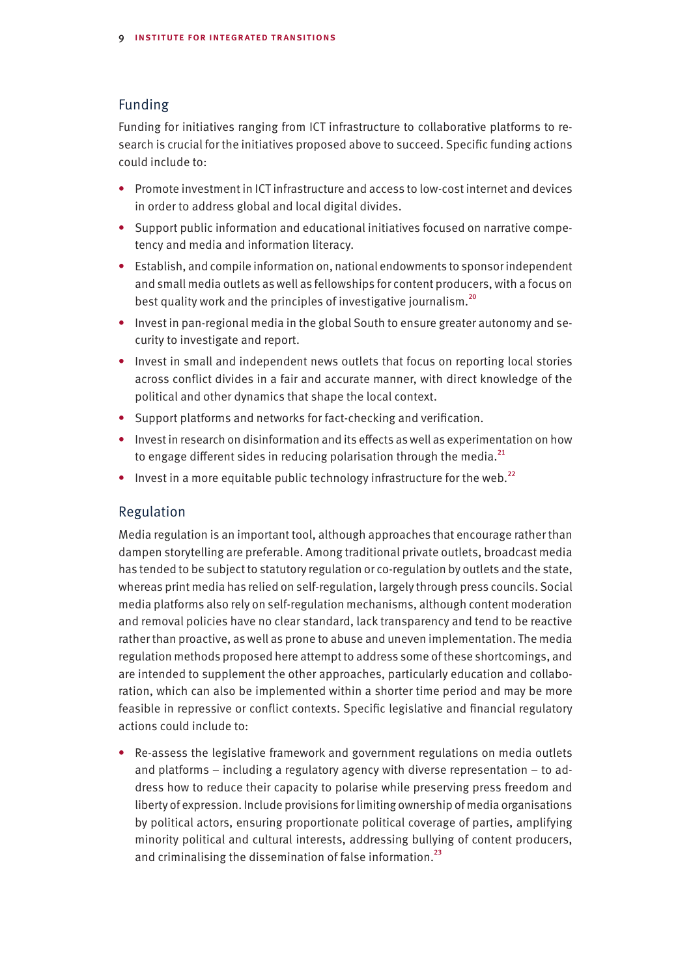#### Funding

Funding for initiatives ranging from ICT infrastructure to collaborative platforms to research is crucial for the initiatives proposed above to succeed. Specific funding actions could include to:

- Promote investment in ICT infrastructure and access to low-cost internet and devices in order to address global and local digital divides.
- Support public information and educational initiatives focused on narrative competency and media and information literacy.
- Establish, and compile information on, national endowments to sponsor independent and small media outlets as well as fellowships for content producers, with a focus on best quality work and the principles of investigative journalism.<sup>20</sup>
- Invest in pan-regional media in the global South to ensure greater autonomy and security to investigate and report.
- Invest in small and independent news outlets that focus on reporting local stories across conflict divides in a fair and accurate manner, with direct knowledge of the political and other dynamics that shape the local context.
- Support platforms and networks for fact-checking and verification.
- Invest in research on disinformation and its effects as well as experimentation on how to engage different sides in reducing polarisation through the media. $^{21}$
- Invest in a more equitable public technology infrastructure for the web.<sup>22</sup>

#### Regulation

Media regulation is an important tool, although approaches that encourage rather than dampen storytelling are preferable. Among traditional private outlets, broadcast media has tended to be subject to statutory regulation or co-regulation by outlets and the state, whereas print media has relied on self-regulation, largely through press councils. Social media platforms also rely on self-regulation mechanisms, although content moderation and removal policies have no clear standard, lack transparency and tend to be reactive rather than proactive, as well as prone to abuse and uneven implementation. The media regulation methods proposed here attempt to address some of these shortcomings, and are intended to supplement the other approaches, particularly education and collaboration, which can also be implemented within a shorter time period and may be more feasible in repressive or conflict contexts. Specific legislative and financial regulatory actions could include to:

• Re-assess the legislative framework and government regulations on media outlets and platforms – including a regulatory agency with diverse representation – to address how to reduce their capacity to polarise while preserving press freedom and liberty of expression. Include provisions for limiting ownership of media organisations by political actors, ensuring proportionate political coverage of parties, amplifying minority political and cultural interests, addressing bullying of content producers, and criminalising the dissemination of false information.<sup>23</sup>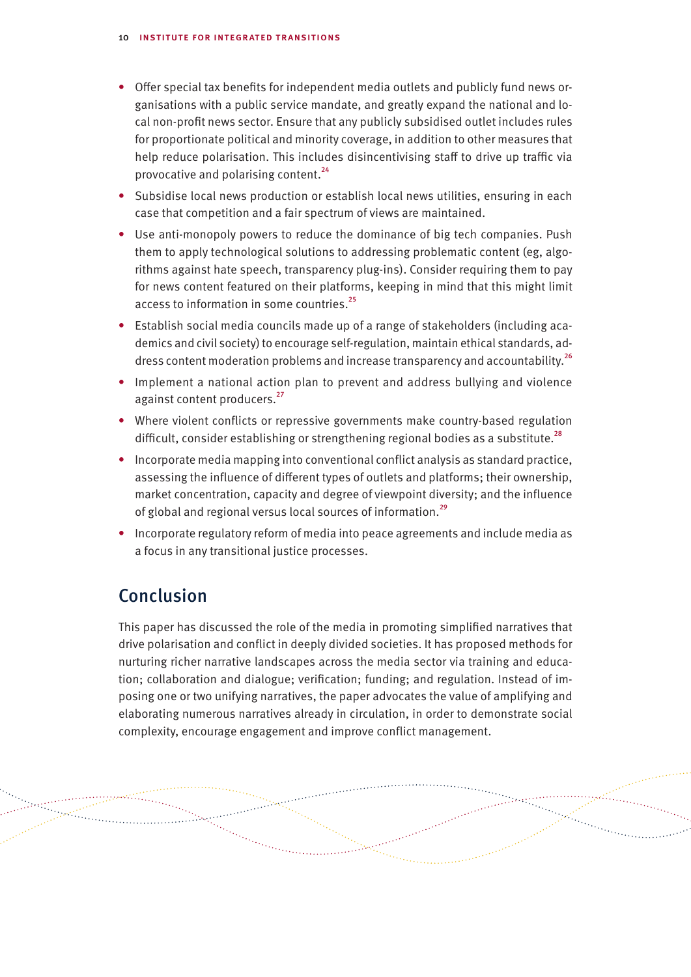- Offer special tax benefits for independent media outlets and publicly fund news organisations with a public service mandate, and greatly expand the national and local non-profit news sector. Ensure that any publicly subsidised outlet includes rules for proportionate political and minority coverage, in addition to other measures that help reduce polarisation. This includes disincentivising staff to drive up traffic via provocative and polarising content.<sup>24</sup>
- Subsidise local news production or establish local news utilities, ensuring in each case that competition and a fair spectrum of views are maintained.
- Use anti-monopoly powers to reduce the dominance of big tech companies. Push them to apply technological solutions to addressing problematic content (eg, algorithms against hate speech, transparency plug-ins). Consider requiring them to pay for news content featured on their platforms, keeping in mind that this might limit access to information in some countries.<sup>25</sup>
- Establish social media councils made up of a range of stakeholders (including academics and civil society) to encourage self-regulation, maintain ethical standards, address content moderation problems and increase transparency and accountability.<sup>26</sup>
- Implement a national action plan to prevent and address bullying and violence against content producers.<sup>27</sup>
- Where violent conflicts or repressive governments make country-based regulation difficult, consider establishing or strengthening regional bodies as a substitute.<sup>28</sup>
- Incorporate media mapping into conventional conflict analysis as standard practice, assessing the influence of different types of outlets and platforms; their ownership, market concentration, capacity and degree of viewpoint diversity; and the influence of global and regional versus local sources of information.<sup>29</sup>
- Incorporate regulatory reform of media into peace agreements and include media as a focus in any transitional justice processes.

## Conclusion

alahan<br>Selaman<br>Selaman Selaman

This paper has discussed the role of the media in promoting simplified narratives that drive polarisation and conflict in deeply divided societies. It has proposed methods for nurturing richer narrative landscapes across the media sector via training and education; collaboration and dialogue; verification; funding; and regulation. Instead of imposing one or two unifying narratives, the paper advocates the value of amplifying and elaborating numerous narratives already in circulation, in order to demonstrate social complexity, encourage engagement and improve conflict management.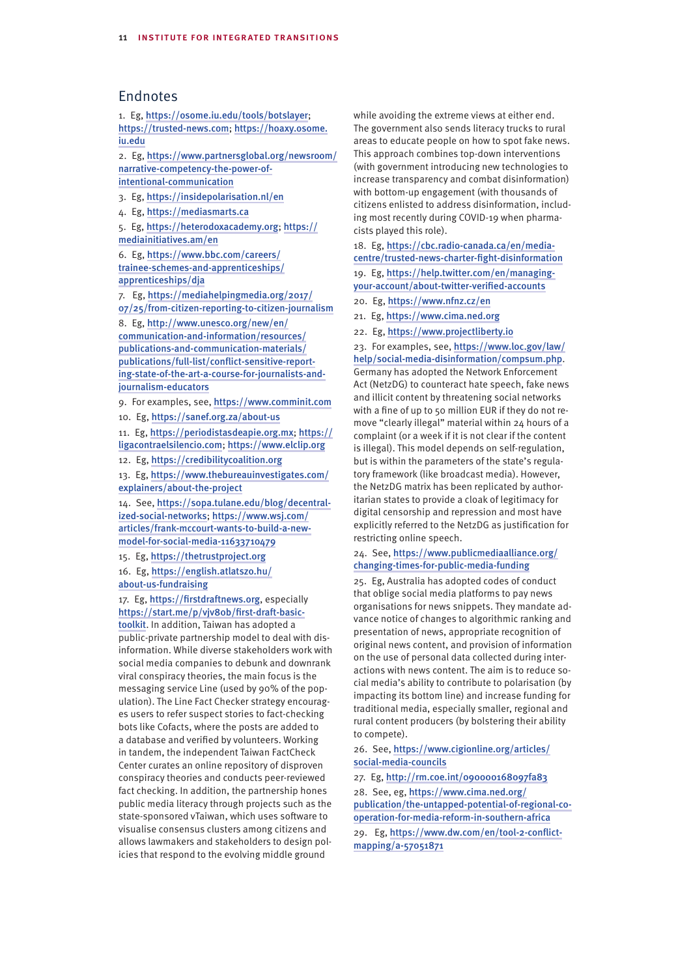### Endnotes

1. Eg, https://osome.iu.edu/tools/botslayer; https://trusted-news.com; https://hoaxy.osome. iu.edu

2. Eg, https://www.partnersglobal.org/newsroom/ narrative-competency-the-power-of-

intentional-communication

3. Eg, https://insidepolarisation.nl/en

4. Eg, https://mediasmarts.ca

5. Eg, https://heterodoxacademy.org; https:// mediainitiatives.am/en

6. Eg, https://www.bbc.com/careers/ trainee-schemes-and-apprenticeships/ apprenticeships/dja

7. Eg, https://mediahelpingmedia.org/2017/ 07/25/from-citizen-reporting-to-citizen-journalism

8. Eg, http://www.unesco.org/new/en/ communication-and-information/resources/ publications-and-communication-materials/ publications/full-list/conflict-sensitive-reporting-state-of-the-art-a-course-for-journalists-andjournalism-educators

9. For examples, see, https://www.comminit.com

10. Eg, https://sanef.org.za/about-us

11. Eg, https://periodistasdeapie.org.mx; https:// ligacontraelsilencio.com; https://www.elclip.org

12. Eg, https://credibilitycoalition.org

13. Eg, https://www.thebureauinvestigates.com/ explainers/about-the-project

14. See, https://sopa.tulane.edu/blog/decentralized-social-networks; https://www.wsj.com/ articles/frank-mccourt-wants-to-build-a-newmodel-for-social-media-11633710479

15. Eg, https://thetrustproject.org 16. Eg, https://english.atlatszo.hu/ about-us-fundraising

17. Eg, https://firstdraftnews.org, especially https://start.me/p/vjv80b/first-draft-basictoolkit. In addition, Taiwan has adopted a

public-private partnership model to deal with disinformation. While diverse stakeholders work with social media companies to debunk and downrank viral conspiracy theories, the main focus is the messaging service Line (used by 90% of the population). The Line Fact Checker strategy encourages users to refer suspect stories to fact-checking bots like Cofacts, where the posts are added to a database and verified by volunteers. Working in tandem, the independent Taiwan FactCheck Center curates an online repository of disproven conspiracy theories and conducts peer-reviewed fact checking. In addition, the partnership hones public media literacy through projects such as the state-sponsored vTaiwan, which uses software to visualise consensus clusters among citizens and allows lawmakers and stakeholders to design policies that respond to the evolving middle ground

while avoiding the extreme views at either end. The government also sends literacy trucks to rural areas to educate people on how to spot fake news. This approach combines top-down interventions (with government introducing new technologies to increase transparency and combat disinformation) with bottom-up engagement (with thousands of citizens enlisted to address disinformation, including most recently during COVID-19 when pharmacists played this role).

18. Eg, https://cbc.radio-canada.ca/en/mediacentre/trusted-news-charter-fight-disinformation

19. Eg, https://help.twitter.com/en/managingyour-account/about-twitter-verified-accounts

20. Eg, https://www.nfnz.cz/en

21. Eg, https://www.cima.ned.org

22. Eg, https://www.projectliberty.io

23. For examples, see, https://www.loc.gov/law/ help/social-media-disinformation/compsum.php. Germany has adopted the Network Enforcement Act (NetzDG) to counteract hate speech, fake news and illicit content by threatening social networks with a fine of up to 50 million EUR if they do not remove "clearly illegal" material within 24 hours of a complaint (or a week if it is not clear if the content is illegal). This model depends on self-regulation, but is within the parameters of the state's regulatory framework (like broadcast media). However, the NetzDG matrix has been replicated by authoritarian states to provide a cloak of legitimacy for digital censorship and repression and most have explicitly referred to the NetzDG as justification for restricting online speech.

#### 24. See, https://www.publicmediaalliance.org/ changing-times-for-public-media-funding

25. Eg, Australia has adopted codes of conduct that oblige social media platforms to pay news organisations for news snippets. They mandate advance notice of changes to algorithmic ranking and presentation of news, appropriate recognition of original news content, and provision of information on the use of personal data collected during interactions with news content. The aim is to reduce social media's ability to contribute to polarisation (by impacting its bottom line) and increase funding for traditional media, especially smaller, regional and rural content producers (by bolstering their ability to compete).

26. See, https://www.cigionline.org/articles/ social-media-councils

27. Eg, http://rm.coe.int/090000168097fa83 28. See, eg, https://www.cima.ned.org/ publication/the-untapped-potential-of-regional-cooperation-for-media-reform-in-southern-africa 29. Eg, https://www.dw.com/en/tool-2-conflictmapping/a-57051871